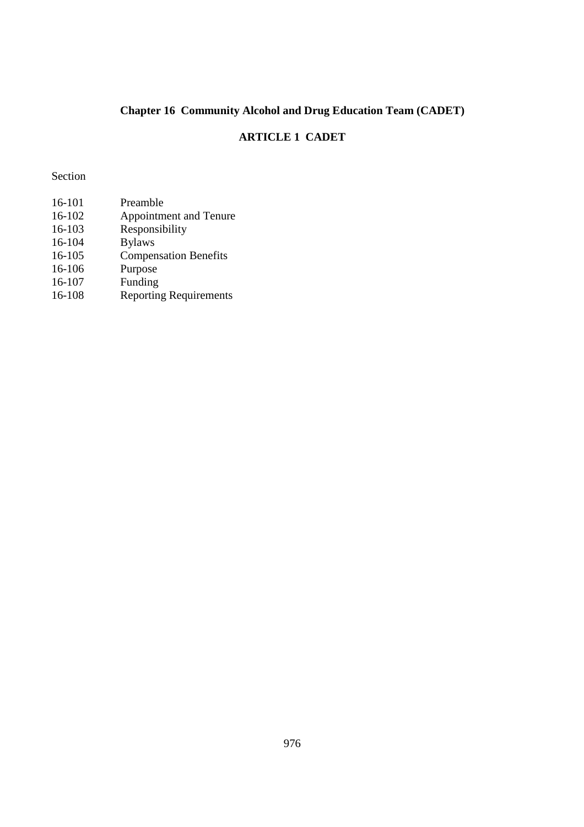# **Chapter 16 Community Alcohol and Drug Education Team (CADET)**

# **ARTICLE 1 CADET**

Section

| 16-101 | Preamble                      |
|--------|-------------------------------|
| 16-102 | Appointment and Tenure        |
| 16-103 | Responsibility                |
| 16-104 | <b>Bylaws</b>                 |
| 16-105 | <b>Compensation Benefits</b>  |
| 16-106 | Purpose                       |
| 16-107 | Funding                       |
| 16-108 | <b>Reporting Requirements</b> |
|        |                               |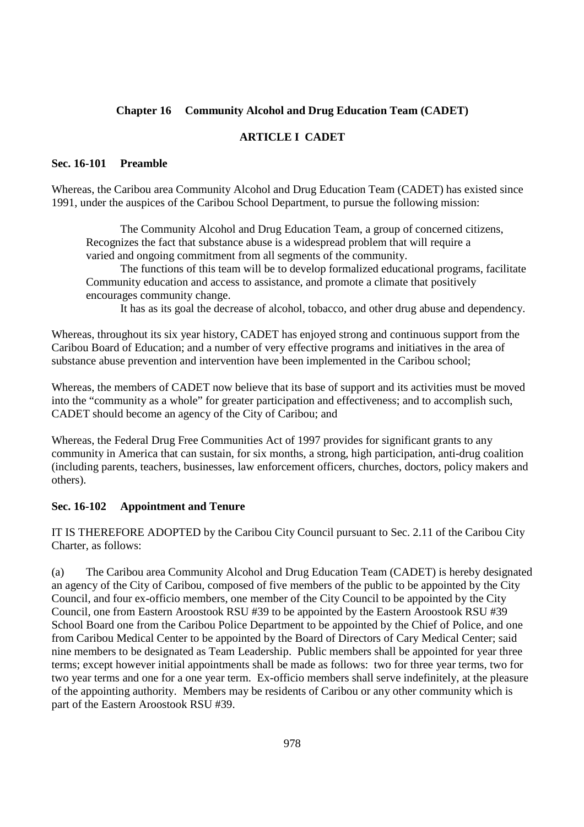#### **Chapter 16 Community Alcohol and Drug Education Team (CADET)**

### **ARTICLE I CADET**

#### **Sec. 16-101 Preamble**

Whereas, the Caribou area Community Alcohol and Drug Education Team (CADET) has existed since 1991, under the auspices of the Caribou School Department, to pursue the following mission:

 The Community Alcohol and Drug Education Team, a group of concerned citizens, Recognizes the fact that substance abuse is a widespread problem that will require a varied and ongoing commitment from all segments of the community.

 The functions of this team will be to develop formalized educational programs, facilitate Community education and access to assistance, and promote a climate that positively encourages community change.

It has as its goal the decrease of alcohol, tobacco, and other drug abuse and dependency.

Whereas, throughout its six year history, CADET has enjoyed strong and continuous support from the Caribou Board of Education; and a number of very effective programs and initiatives in the area of substance abuse prevention and intervention have been implemented in the Caribou school;

Whereas, the members of CADET now believe that its base of support and its activities must be moved into the "community as a whole" for greater participation and effectiveness; and to accomplish such, CADET should become an agency of the City of Caribou; and

Whereas, the Federal Drug Free Communities Act of 1997 provides for significant grants to any community in America that can sustain, for six months, a strong, high participation, anti-drug coalition (including parents, teachers, businesses, law enforcement officers, churches, doctors, policy makers and others).

#### **Sec. 16-102 Appointment and Tenure**

IT IS THEREFORE ADOPTED by the Caribou City Council pursuant to Sec. 2.11 of the Caribou City Charter, as follows:

(a) The Caribou area Community Alcohol and Drug Education Team (CADET) is hereby designated an agency of the City of Caribou, composed of five members of the public to be appointed by the City Council, and four ex-officio members, one member of the City Council to be appointed by the City Council, one from Eastern Aroostook RSU #39 to be appointed by the Eastern Aroostook RSU #39 School Board one from the Caribou Police Department to be appointed by the Chief of Police, and one from Caribou Medical Center to be appointed by the Board of Directors of Cary Medical Center; said nine members to be designated as Team Leadership. Public members shall be appointed for year three terms; except however initial appointments shall be made as follows: two for three year terms, two for two year terms and one for a one year term. Ex-officio members shall serve indefinitely, at the pleasure of the appointing authority. Members may be residents of Caribou or any other community which is part of the Eastern Aroostook RSU #39.